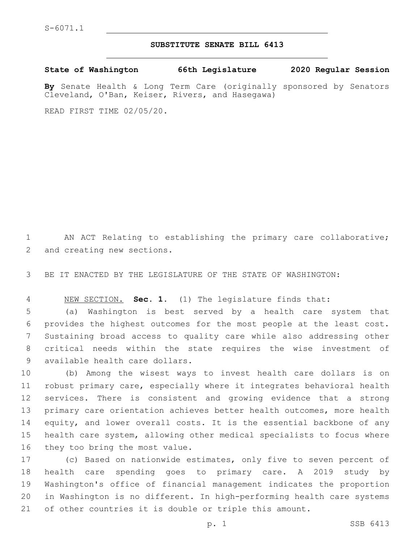## **SUBSTITUTE SENATE BILL 6413**

**State of Washington 66th Legislature 2020 Regular Session**

**By** Senate Health & Long Term Care (originally sponsored by Senators Cleveland, O'Ban, Keiser, Rivers, and Hasegawa)

READ FIRST TIME 02/05/20.

 AN ACT Relating to establishing the primary care collaborative; 2 and creating new sections.

BE IT ENACTED BY THE LEGISLATURE OF THE STATE OF WASHINGTON:

NEW SECTION. **Sec. 1.** (1) The legislature finds that:

 (a) Washington is best served by a health care system that provides the highest outcomes for the most people at the least cost. Sustaining broad access to quality care while also addressing other critical needs within the state requires the wise investment of 9 available health care dollars.

 (b) Among the wisest ways to invest health care dollars is on robust primary care, especially where it integrates behavioral health services. There is consistent and growing evidence that a strong primary care orientation achieves better health outcomes, more health equity, and lower overall costs. It is the essential backbone of any health care system, allowing other medical specialists to focus where 16 they too bring the most value.

 (c) Based on nationwide estimates, only five to seven percent of health care spending goes to primary care. A 2019 study by Washington's office of financial management indicates the proportion in Washington is no different. In high-performing health care systems of other countries it is double or triple this amount.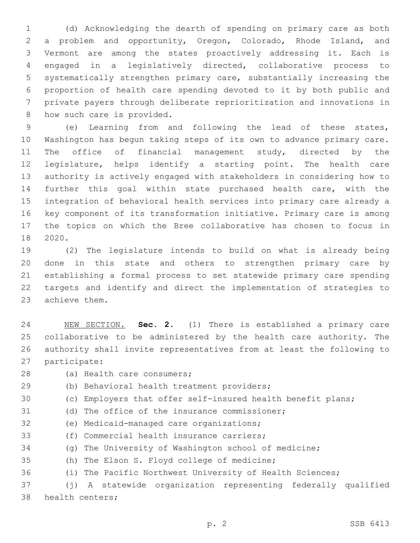(d) Acknowledging the dearth of spending on primary care as both a problem and opportunity, Oregon, Colorado, Rhode Island, and Vermont are among the states proactively addressing it. Each is engaged in a legislatively directed, collaborative process to systematically strengthen primary care, substantially increasing the proportion of health care spending devoted to it by both public and private payers through deliberate reprioritization and innovations in 8 how such care is provided.

 (e) Learning from and following the lead of these states, Washington has begun taking steps of its own to advance primary care. The office of financial management study, directed by the legislature, helps identify a starting point. The health care authority is actively engaged with stakeholders in considering how to further this goal within state purchased health care, with the integration of behavioral health services into primary care already a key component of its transformation initiative. Primary care is among the topics on which the Bree collaborative has chosen to focus in 18 2020.

 (2) The legislature intends to build on what is already being done in this state and others to strengthen primary care by establishing a formal process to set statewide primary care spending targets and identify and direct the implementation of strategies to 23 achieve them.

 NEW SECTION. **Sec. 2.** (1) There is established a primary care collaborative to be administered by the health care authority. The authority shall invite representatives from at least the following to participate:

- 
- 28 (a) Health care consumers;
- (b) Behavioral health treatment providers;
- (c) Employers that offer self-insured health benefit plans;
- (d) The office of the insurance commissioner;
- 32 (e) Medicaid-managed care organizations;
- 33 (f) Commercial health insurance carriers;
- (g) The University of Washington school of medicine;
- 35 (h) The Elson S. Floyd college of medicine;
- (i) The Pacific Northwest University of Health Sciences;

 (j) A statewide organization representing federally qualified 38 health centers;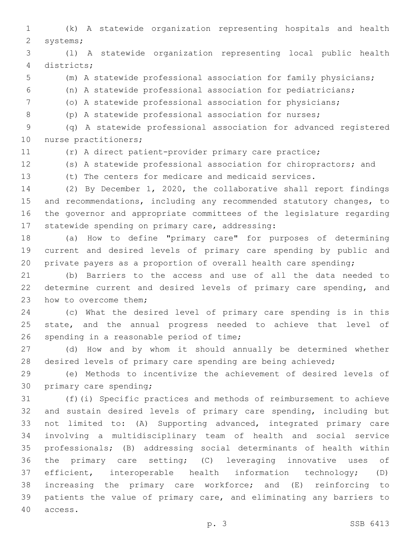(k) A statewide organization representing hospitals and health 2 systems;

 (l) A statewide organization representing local public health districts;4

(m) A statewide professional association for family physicians;

- (n) A statewide professional association for pediatricians;
- (o) A statewide professional association for physicians;
- (p) A statewide professional association for nurses;

 (q) A statewide professional association for advanced registered 10 nurse practitioners;

(r) A direct patient-provider primary care practice;

(s) A statewide professional association for chiropractors; and

(t) The centers for medicare and medicaid services.

 (2) By December 1, 2020, the collaborative shall report findings and recommendations, including any recommended statutory changes, to the governor and appropriate committees of the legislature regarding 17 statewide spending on primary care, addressing:

 (a) How to define "primary care" for purposes of determining current and desired levels of primary care spending by public and private payers as a proportion of overall health care spending;

 (b) Barriers to the access and use of all the data needed to determine current and desired levels of primary care spending, and 23 how to overcome them;

 (c) What the desired level of primary care spending is in this 25 state, and the annual progress needed to achieve that level of 26 spending in a reasonable period of time;

 (d) How and by whom it should annually be determined whether desired levels of primary care spending are being achieved;

 (e) Methods to incentivize the achievement of desired levels of 30 primary care spending;

 (f)(i) Specific practices and methods of reimbursement to achieve and sustain desired levels of primary care spending, including but not limited to: (A) Supporting advanced, integrated primary care involving a multidisciplinary team of health and social service professionals; (B) addressing social determinants of health within the primary care setting; (C) leveraging innovative uses of efficient, interoperable health information technology; (D) increasing the primary care workforce; and (E) reinforcing to patients the value of primary care, and eliminating any barriers to access.40